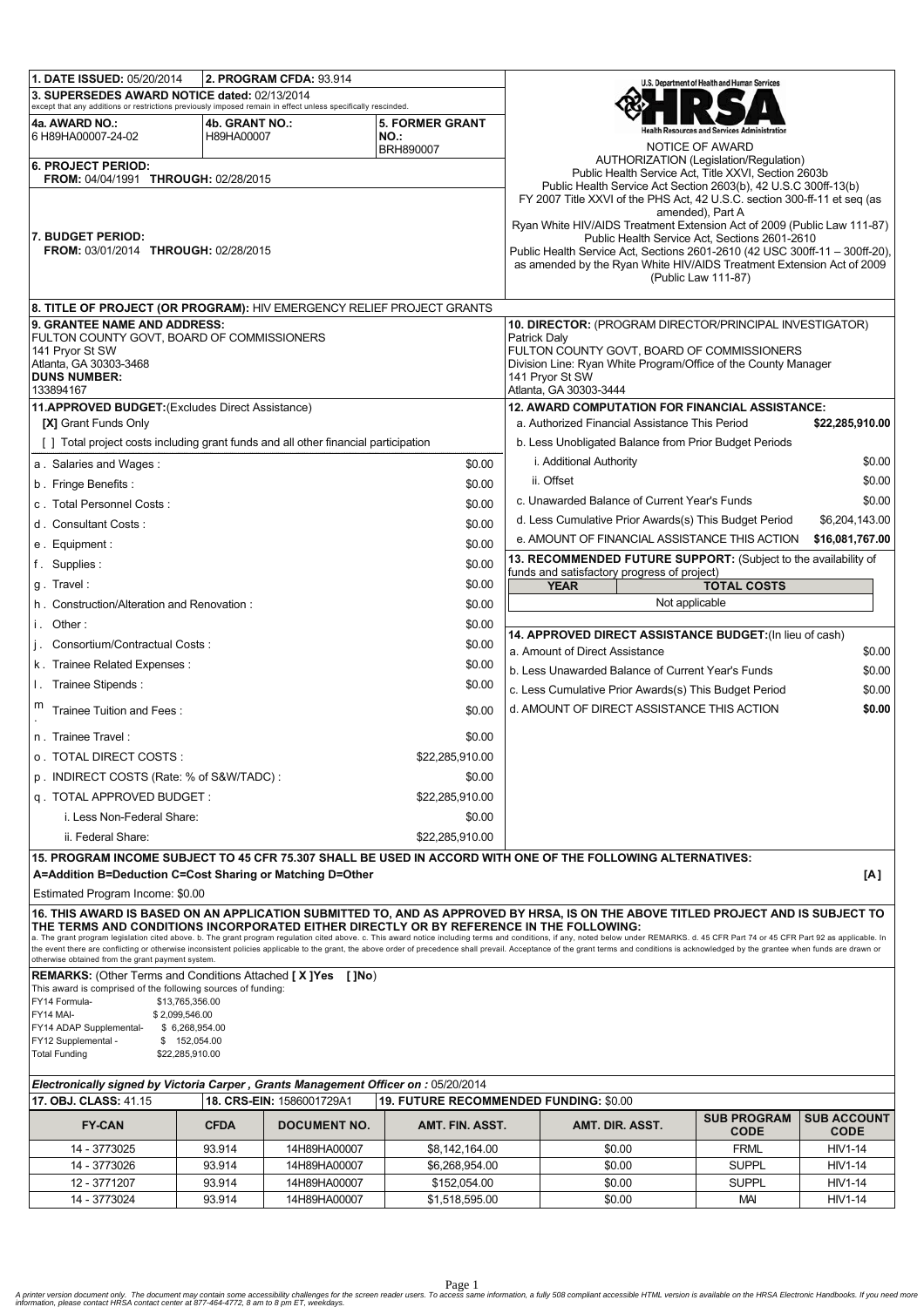| 1. DATE ISSUED: 05/20/2014<br>2. PROGRAM CFDA: 93.914                                                                                                                                                                                                                                                                     |             |                           |                                                                 |                                                                                  |                                                                                                                                              | U.S. Department of Health and Human Services              |                    |  |
|---------------------------------------------------------------------------------------------------------------------------------------------------------------------------------------------------------------------------------------------------------------------------------------------------------------------------|-------------|---------------------------|-----------------------------------------------------------------|----------------------------------------------------------------------------------|----------------------------------------------------------------------------------------------------------------------------------------------|-----------------------------------------------------------|--------------------|--|
| 3. SUPERSEDES AWARD NOTICE dated: 02/13/2014                                                                                                                                                                                                                                                                              |             |                           |                                                                 |                                                                                  |                                                                                                                                              |                                                           |                    |  |
| except that any additions or restrictions previously imposed remain in effect unless specifically rescinded.<br><b>5. FORMER GRANT</b><br>4a. AWARD NO.:<br>4b. GRANT NO.:                                                                                                                                                |             |                           |                                                                 |                                                                                  |                                                                                                                                              |                                                           |                    |  |
| 6 H89HA00007-24-02                                                                                                                                                                                                                                                                                                        | H89HA00007  |                           | <b>NO.:</b>                                                     |                                                                                  |                                                                                                                                              |                                                           |                    |  |
|                                                                                                                                                                                                                                                                                                                           |             |                           | <b>BRH890007</b>                                                |                                                                                  |                                                                                                                                              | NOTICE OF AWARD<br>AUTHORIZATION (Legislation/Regulation) |                    |  |
| <b>6. PROJECT PERIOD:</b><br>FROM: 04/04/1991 THROUGH: 02/28/2015                                                                                                                                                                                                                                                         |             |                           |                                                                 | Public Health Service Act, Title XXVI, Section 2603b                             |                                                                                                                                              |                                                           |                    |  |
|                                                                                                                                                                                                                                                                                                                           |             |                           |                                                                 |                                                                                  | Public Health Service Act Section 2603(b), 42 U.S.C 300ff-13(b)<br>FY 2007 Title XXVI of the PHS Act, 42 U.S.C. section 300-ff-11 et seq (as |                                                           |                    |  |
|                                                                                                                                                                                                                                                                                                                           |             |                           |                                                                 |                                                                                  |                                                                                                                                              | amended), Part A                                          |                    |  |
| 7. BUDGET PERIOD:                                                                                                                                                                                                                                                                                                         |             |                           |                                                                 |                                                                                  | Ryan White HIV/AIDS Treatment Extension Act of 2009 (Public Law 111-87)<br>Public Health Service Act, Sections 2601-2610                     |                                                           |                    |  |
| FROM: 03/01/2014 THROUGH: 02/28/2015                                                                                                                                                                                                                                                                                      |             |                           |                                                                 |                                                                                  | Public Health Service Act, Sections 2601-2610 (42 USC 300ff-11 - 300ff-20).                                                                  |                                                           |                    |  |
|                                                                                                                                                                                                                                                                                                                           |             |                           |                                                                 |                                                                                  | as amended by the Ryan White HIV/AIDS Treatment Extension Act of 2009<br>(Public Law 111-87)                                                 |                                                           |                    |  |
|                                                                                                                                                                                                                                                                                                                           |             |                           |                                                                 |                                                                                  |                                                                                                                                              |                                                           |                    |  |
| 8. TITLE OF PROJECT (OR PROGRAM): HIV EMERGENCY RELIEF PROJECT GRANTS                                                                                                                                                                                                                                                     |             |                           |                                                                 |                                                                                  |                                                                                                                                              |                                                           |                    |  |
| 9. GRANTEE NAME AND ADDRESS:                                                                                                                                                                                                                                                                                              |             |                           |                                                                 |                                                                                  | 10. DIRECTOR: (PROGRAM DIRECTOR/PRINCIPAL INVESTIGATOR)                                                                                      |                                                           |                    |  |
| FULTON COUNTY GOVT, BOARD OF COMMISSIONERS                                                                                                                                                                                                                                                                                |             |                           |                                                                 |                                                                                  | Patrick Daly<br>FULTON COUNTY GOVT, BOARD OF COMMISSIONERS                                                                                   |                                                           |                    |  |
| 141 Pryor St SW<br>Atlanta, GA 30303-3468                                                                                                                                                                                                                                                                                 |             |                           |                                                                 |                                                                                  | Division Line: Ryan White Program/Office of the County Manager                                                                               |                                                           |                    |  |
| <b>DUNS NUMBER:</b>                                                                                                                                                                                                                                                                                                       |             |                           |                                                                 |                                                                                  | 141 Pryor St SW                                                                                                                              |                                                           |                    |  |
| 133894167                                                                                                                                                                                                                                                                                                                 |             |                           |                                                                 | Atlanta, GA 30303-3444<br><b>12. AWARD COMPUTATION FOR FINANCIAL ASSISTANCE:</b> |                                                                                                                                              |                                                           |                    |  |
| 11.APPROVED BUDGET: (Excludes Direct Assistance)<br>[X] Grant Funds Only                                                                                                                                                                                                                                                  |             |                           |                                                                 |                                                                                  | a. Authorized Financial Assistance This Period<br>\$22,285,910.00                                                                            |                                                           |                    |  |
|                                                                                                                                                                                                                                                                                                                           |             |                           |                                                                 | b. Less Unobligated Balance from Prior Budget Periods                            |                                                                                                                                              |                                                           |                    |  |
| [] Total project costs including grant funds and all other financial participation<br>a. Salaries and Wages:<br>\$0.00                                                                                                                                                                                                    |             |                           |                                                                 |                                                                                  | i. Additional Authority<br>\$0.00                                                                                                            |                                                           |                    |  |
| b. Fringe Benefits:                                                                                                                                                                                                                                                                                                       |             |                           | \$0.00                                                          | ii. Offset<br>\$0.00                                                             |                                                                                                                                              |                                                           |                    |  |
| c. Total Personnel Costs:                                                                                                                                                                                                                                                                                                 |             |                           | \$0.00                                                          |                                                                                  | c. Unawarded Balance of Current Year's Funds<br>\$0.00                                                                                       |                                                           |                    |  |
| d. Consultant Costs:                                                                                                                                                                                                                                                                                                      |             |                           | \$0.00                                                          |                                                                                  | d. Less Cumulative Prior Awards(s) This Budget Period                                                                                        |                                                           | \$6,204,143.00     |  |
|                                                                                                                                                                                                                                                                                                                           |             |                           | \$0.00                                                          |                                                                                  | e. AMOUNT OF FINANCIAL ASSISTANCE THIS ACTION                                                                                                |                                                           | \$16,081,767.00    |  |
| e. Equipment:                                                                                                                                                                                                                                                                                                             |             |                           | 13. RECOMMENDED FUTURE SUPPORT: (Subject to the availability of |                                                                                  |                                                                                                                                              |                                                           |                    |  |
| f. Supplies:<br>\$0.00                                                                                                                                                                                                                                                                                                    |             |                           | funds and satisfactory progress of project)                     |                                                                                  |                                                                                                                                              |                                                           |                    |  |
| \$0.00<br>g. Travel:                                                                                                                                                                                                                                                                                                      |             |                           |                                                                 | <b>YEAR</b><br><b>TOTAL COSTS</b><br>Not applicable                              |                                                                                                                                              |                                                           |                    |  |
| h. Construction/Alteration and Renovation:<br>\$0.00                                                                                                                                                                                                                                                                      |             |                           |                                                                 |                                                                                  |                                                                                                                                              |                                                           |                    |  |
| i. Other:<br>j. Consortium/Contractual Costs:                                                                                                                                                                                                                                                                             |             |                           | \$0.00<br>\$0.00                                                |                                                                                  | 14. APPROVED DIRECT ASSISTANCE BUDGET: (In lieu of cash)                                                                                     |                                                           |                    |  |
|                                                                                                                                                                                                                                                                                                                           |             |                           |                                                                 |                                                                                  | a. Amount of Direct Assistance                                                                                                               |                                                           | \$0.00             |  |
| k. Trainee Related Expenses:<br>\$0.00                                                                                                                                                                                                                                                                                    |             |                           |                                                                 | b. Less Unawarded Balance of Current Year's Funds<br>\$0.00                      |                                                                                                                                              |                                                           |                    |  |
| I. Trainee Stipends:<br>\$0.00                                                                                                                                                                                                                                                                                            |             |                           | c. Less Cumulative Prior Awards(s) This Budget Period<br>\$0.00 |                                                                                  |                                                                                                                                              |                                                           |                    |  |
| m<br>Trainee Tuition and Fees:<br>\$0.00                                                                                                                                                                                                                                                                                  |             |                           |                                                                 | d. AMOUNT OF DIRECT ASSISTANCE THIS ACTION<br>\$0.00                             |                                                                                                                                              |                                                           |                    |  |
| n. Trainee Travel:<br>\$0.00                                                                                                                                                                                                                                                                                              |             |                           |                                                                 |                                                                                  |                                                                                                                                              |                                                           |                    |  |
| \$22,285,910.00<br>0. TOTAL DIRECT COSTS :                                                                                                                                                                                                                                                                                |             |                           |                                                                 |                                                                                  |                                                                                                                                              |                                                           |                    |  |
| p. INDIRECT COSTS (Rate: % of S&W/TADC):<br>\$0.00                                                                                                                                                                                                                                                                        |             |                           |                                                                 |                                                                                  |                                                                                                                                              |                                                           |                    |  |
| q. TOTAL APPROVED BUDGET:<br>\$22,285,910.00                                                                                                                                                                                                                                                                              |             |                           |                                                                 |                                                                                  |                                                                                                                                              |                                                           |                    |  |
| i. Less Non-Federal Share:                                                                                                                                                                                                                                                                                                |             |                           | \$0.00                                                          |                                                                                  |                                                                                                                                              |                                                           |                    |  |
| ii. Federal Share:                                                                                                                                                                                                                                                                                                        |             |                           | \$22,285,910.00                                                 |                                                                                  |                                                                                                                                              |                                                           |                    |  |
| 15. PROGRAM INCOME SUBJECT TO 45 CFR 75.307 SHALL BE USED IN ACCORD WITH ONE OF THE FOLLOWING ALTERNATIVES:                                                                                                                                                                                                               |             |                           |                                                                 |                                                                                  |                                                                                                                                              |                                                           |                    |  |
| A=Addition B=Deduction C=Cost Sharing or Matching D=Other<br>[A]                                                                                                                                                                                                                                                          |             |                           |                                                                 |                                                                                  |                                                                                                                                              |                                                           |                    |  |
| Estimated Program Income: \$0.00                                                                                                                                                                                                                                                                                          |             |                           |                                                                 |                                                                                  |                                                                                                                                              |                                                           |                    |  |
| 16. THIS AWARD IS BASED ON AN APPLICATION SUBMITTED TO, AND AS APPROVED BY HRSA, IS ON THE ABOVE TITLED PROJECT AND IS SUBJECT TO                                                                                                                                                                                         |             |                           |                                                                 |                                                                                  |                                                                                                                                              |                                                           |                    |  |
| THE TERMS AND CONDITIONS INCORPORATED EITHER DIRECTLY OR BY REFERENCE IN THE FOLLOWING:<br>a. The grant program legislation cited above. b. The grant program regulation cited above. c. This award notice including terms and conditions, if any, noted below under REMARKS. d. 45 CFR Part 74 or 45 CFR Part 92 as appl |             |                           |                                                                 |                                                                                  |                                                                                                                                              |                                                           |                    |  |
| the event there are conflicting or otherwise inconsistent policies applicable to the grant, the above order of precedence shall prevail. Acceptance of the grant terms and conditions is acknowledged by the grantee when fund<br>otherwise obtained from the grant payment system.                                       |             |                           |                                                                 |                                                                                  |                                                                                                                                              |                                                           |                    |  |
| <b>REMARKS:</b> (Other Terms and Conditions Attached [X]Yes [JNo)                                                                                                                                                                                                                                                         |             |                           |                                                                 |                                                                                  |                                                                                                                                              |                                                           |                    |  |
| This award is comprised of the following sources of funding:                                                                                                                                                                                                                                                              |             |                           |                                                                 |                                                                                  |                                                                                                                                              |                                                           |                    |  |
| FY14 Formula-<br>\$13,765,356.00<br>FY14 MAI-<br>\$2,099,546.00                                                                                                                                                                                                                                                           |             |                           |                                                                 |                                                                                  |                                                                                                                                              |                                                           |                    |  |
| FY14 ADAP Supplemental-<br>\$6,268,954.00                                                                                                                                                                                                                                                                                 |             |                           |                                                                 |                                                                                  |                                                                                                                                              |                                                           |                    |  |
| FY12 Supplemental -<br>\$152,054.00<br><b>Total Funding</b><br>\$22,285,910.00                                                                                                                                                                                                                                            |             |                           |                                                                 |                                                                                  |                                                                                                                                              |                                                           |                    |  |
|                                                                                                                                                                                                                                                                                                                           |             |                           |                                                                 |                                                                                  |                                                                                                                                              |                                                           |                    |  |
| Electronically signed by Victoria Carper, Grants Management Officer on : 05/20/2014<br>19. FUTURE RECOMMENDED FUNDING: \$0.00                                                                                                                                                                                             |             |                           |                                                                 |                                                                                  |                                                                                                                                              |                                                           |                    |  |
| 17. OBJ. CLASS: 41.15                                                                                                                                                                                                                                                                                                     |             | 18. CRS-EIN: 1586001729A1 |                                                                 |                                                                                  |                                                                                                                                              | <b>SUB PROGRAM</b>                                        | <b>SUB ACCOUNT</b> |  |
| <b>FY-CAN</b>                                                                                                                                                                                                                                                                                                             | <b>CFDA</b> | <b>DOCUMENT NO.</b>       | AMT. FIN. ASST.                                                 |                                                                                  | AMT. DIR. ASST.                                                                                                                              | <b>CODE</b>                                               | <b>CODE</b>        |  |
| 14 - 3773025                                                                                                                                                                                                                                                                                                              | 93.914      | 14H89HA00007              | \$8,142,164.00                                                  |                                                                                  | \$0.00                                                                                                                                       | <b>FRML</b>                                               | <b>HIV1-14</b>     |  |
| 14 - 3773026                                                                                                                                                                                                                                                                                                              | 93.914      | 14H89HA00007              | \$6,268,954.00                                                  |                                                                                  | \$0.00                                                                                                                                       | <b>SUPPL</b>                                              | HIV1-14            |  |
| 12 - 3771207                                                                                                                                                                                                                                                                                                              | 93.914      | 14H89HA00007              | \$152,054.00                                                    |                                                                                  | \$0.00                                                                                                                                       | <b>SUPPL</b>                                              | HIV1-14            |  |
| 14 - 3773024                                                                                                                                                                                                                                                                                                              | 93.914      | 14H89HA00007              | \$1,518,595.00                                                  |                                                                                  | \$0.00                                                                                                                                       | <b>MAI</b>                                                | <b>HIV1-14</b>     |  |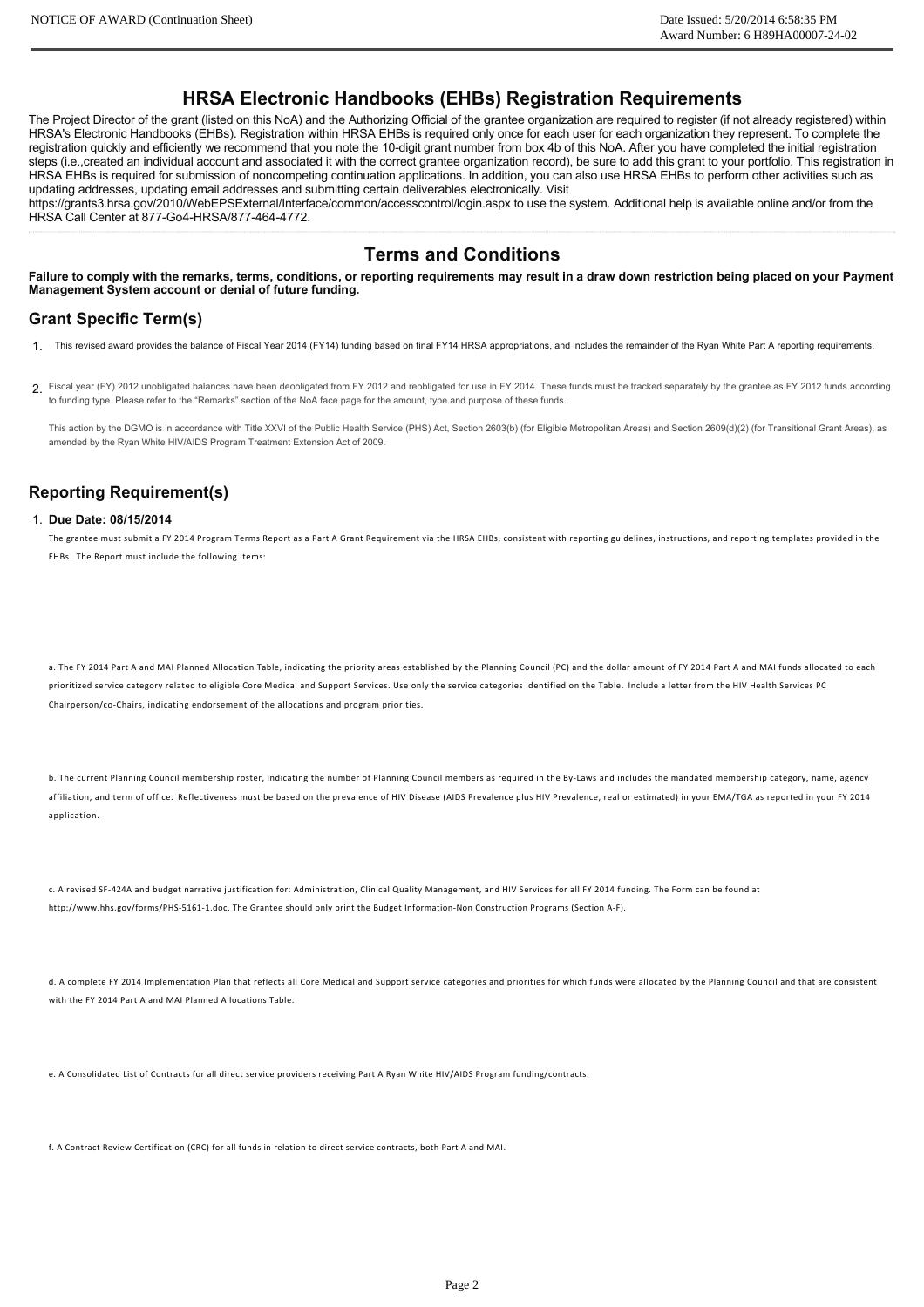# **HRSA Electronic Handbooks (EHBs) Registration Requirements**

The Project Director of the grant (listed on this NoA) and the Authorizing Official of the grantee organization are required to register (if not already registered) within HRSA's Electronic Handbooks (EHBs). Registration within HRSA EHBs is required only once for each user for each organization they represent. To complete the registration quickly and efficiently we recommend that you note the 10-digit grant number from box 4b of this NoA. After you have completed the initial registration steps (i.e.,created an individual account and associated it with the correct grantee organization record), be sure to add this grant to your portfolio. This registration in HRSA EHBs is required for submission of noncompeting continuation applications. In addition, you can also use HRSA EHBs to perform other activities such as updating addresses, updating email addresses and submitting certain deliverables electronically. Visit

https://grants3.hrsa.gov/2010/WebEPSExternal/Interface/common/accesscontrol/login.aspx to use the system. Additional help is available online and/or from the HRSA Call Center at 877-Go4-HRSA/877-464-4772.

# **Terms and Conditions**

**Failure to comply with the remarks, terms, conditions, or reporting requirements may result in a draw down restriction being placed on your Payment Management System account or denial of future funding.**

## **Grant Specific Term(s)**

- 1. This revised award provides the balance of Fiscal Year 2014 (FY14) funding based on final FY14 HRSA appropriations, and includes the remainder of the Ryan White Part A reporting requirements.
- 2. Fiscal year (FY) 2012 unobligated balances have been deobligated from FY 2012 and reobligated for use in FY 2014. These funds must be tracked separately by the grantee as FY 2012 funds according to funding type. Please refer to the "Remarks" section of the NoA face page for the amount, type and purpose of these funds.

This action by the DGMO is in accordance with Title XXVI of the Public Health Service (PHS) Act, Section 2603(b) (for Eligible Metropolitan Areas) and Section 2609(d)(2) (for Transitional Grant Areas), as amended by the Ryan White HIV/AIDS Program Treatment Extension Act of 2009.

## **Reporting Requirement(s)**

### 1. **Due Date: 08/15/2014**

The grantee must submit a FY 2014 Program Terms Report as a Part A Grant Requirement via the HRSA EHBs, consistent with reporting guidelines, instructions, and reporting templates provided in the EHBs. The Report must include the following items:

a. The FY 2014 Part A and MAI Planned Allocation Table, indicating the priority areas established by the Planning Council (PC) and the dollar amount of FY 2014 Part A and MAI funds allocated to each prioritized service category related to eligible Core Medical and Support Services. Use only the service categories identified on the Table. Include a letter from the HIV Health Services PC Chairperson/co‐Chairs, indicating endorsement of the allocations and program priorities.

b. The current Planning Council membership roster, indicating the number of Planning Council members as required in the By-Laws and includes the mandated membership category, name, agency affiliation, and term of office. Reflectiveness must be based on the prevalence of HIV Disease (AIDS Prevalence plus HIV Prevalence, real or estimated) in your EMA/TGA as reported in your FY 2014 application.

c. A revised SF‐424A and budget narrative justification for: Administration, Clinical Quality Management, and HIV Services for all FY 2014 funding. The Form can be found at http://www.hhs.gov/forms/PHS‐5161‐1.doc. The Grantee should only print the Budget Information‐Non Construction Programs (Section A‐F).

d. A complete FY 2014 Implementation Plan that reflects all Core Medical and Support service categories and priorities for which funds were allocated by the Planning Council and that are consistent with the FV 2014 Part A and MAI Planned Allocations Table

e. A Consolidated List of Contracts for all direct service providers receiving Part A Ryan White HIV/AIDS Program funding/contracts.

f. A Contract Review Certification (CRC) for all funds in relation to direct service contracts, both Part A and MAI.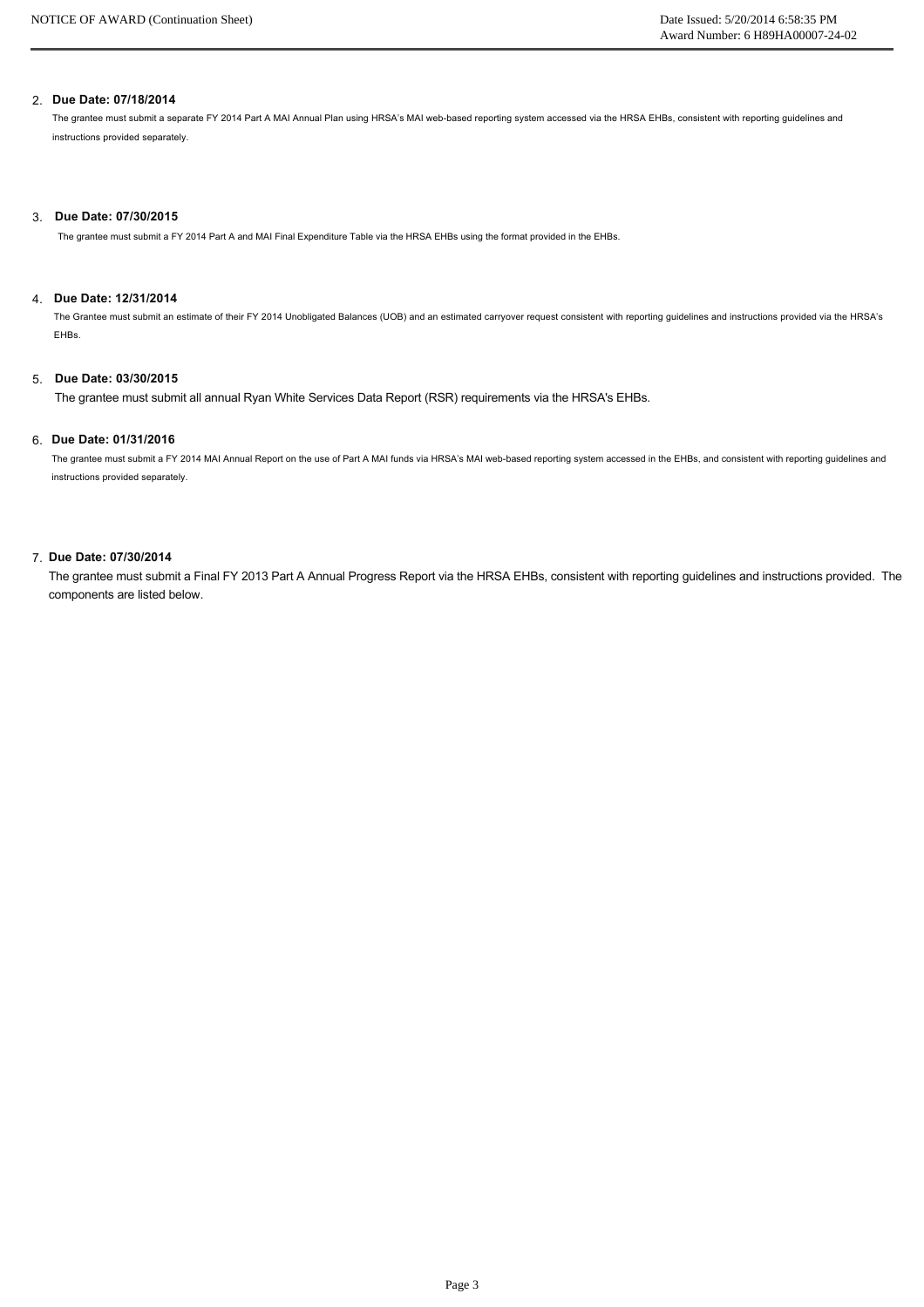### 2. **Due Date: 07/18/2014**

The grantee must submit a separate FY 2014 Part A MAI Annual Plan using HRSA's MAI web-based reporting system accessed via the HRSA EHBs, consistent with reporting guidelines and instructions provided separately.

#### 3. **Due Date: 07/30/2015**

The grantee must submit a FY 2014 Part A and MAI Final Expenditure Table via the HRSA EHBs using the format provided in the EHBs.

### 4. **Due Date: 12/31/2014**

The Grantee must submit an estimate of their FY 2014 Unobligated Balances (UOB) and an estimated carryover request consistent with reporting guidelines and instructions provided via the HRSA's EHBs.

#### 5. **Due Date: 03/30/2015**

The grantee must submit all annual Ryan White Services Data Report (RSR) requirements via the HRSA's EHBs.

### 6. **Due Date: 01/31/2016**

The grantee must submit a FY 2014 MAI Annual Report on the use of Part A MAI funds via HRSA's MAI web-based reporting system accessed in the EHBs, and consistent with reporting guidelines and instructions provided separately.

### 7. **Due Date: 07/30/2014**

The grantee must submit a Final FY 2013 Part A Annual Progress Report via the HRSA EHBs, consistent with reporting guidelines and instructions provided. The components are listed below.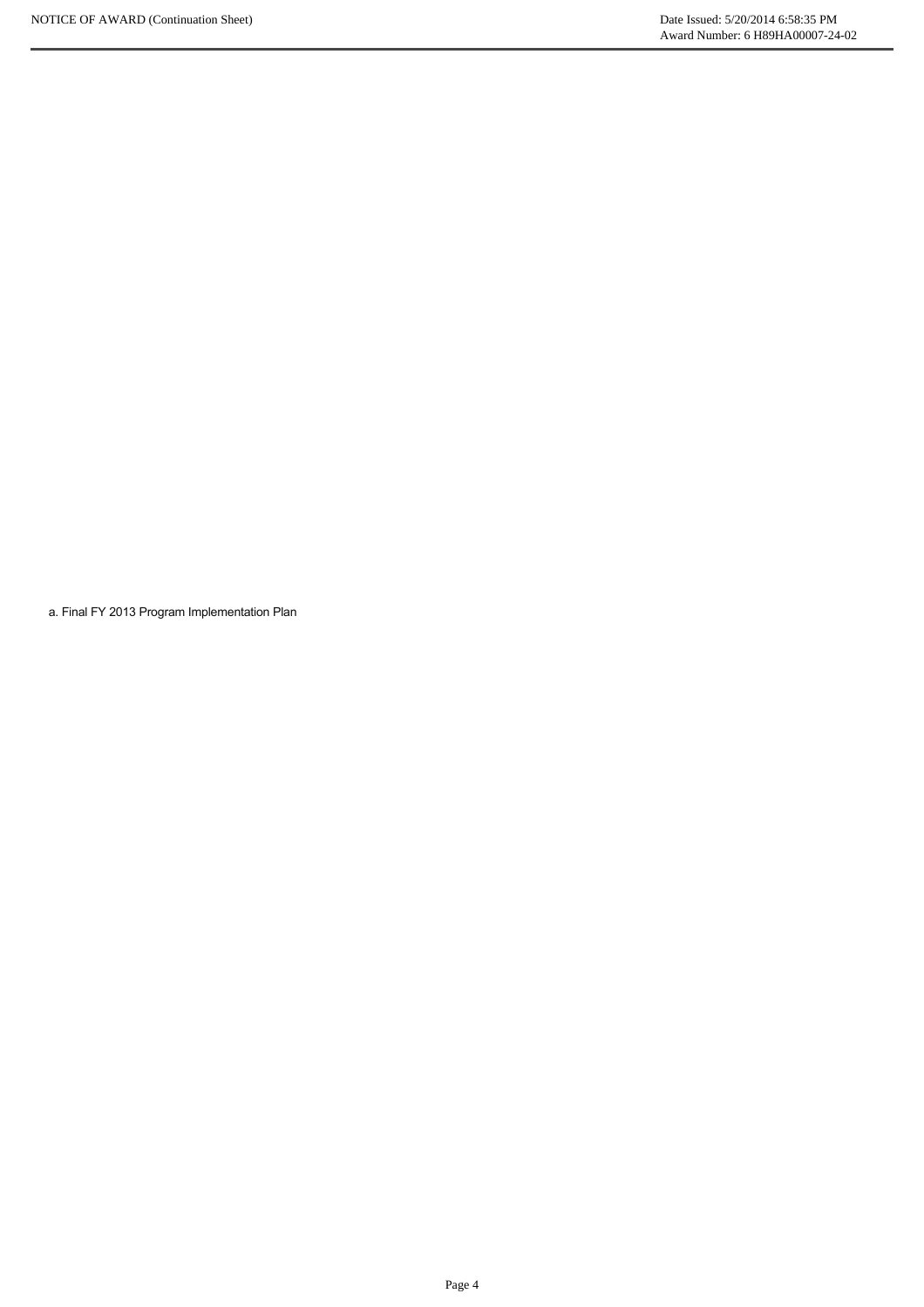a. Final FY 2013 Program Implementation Plan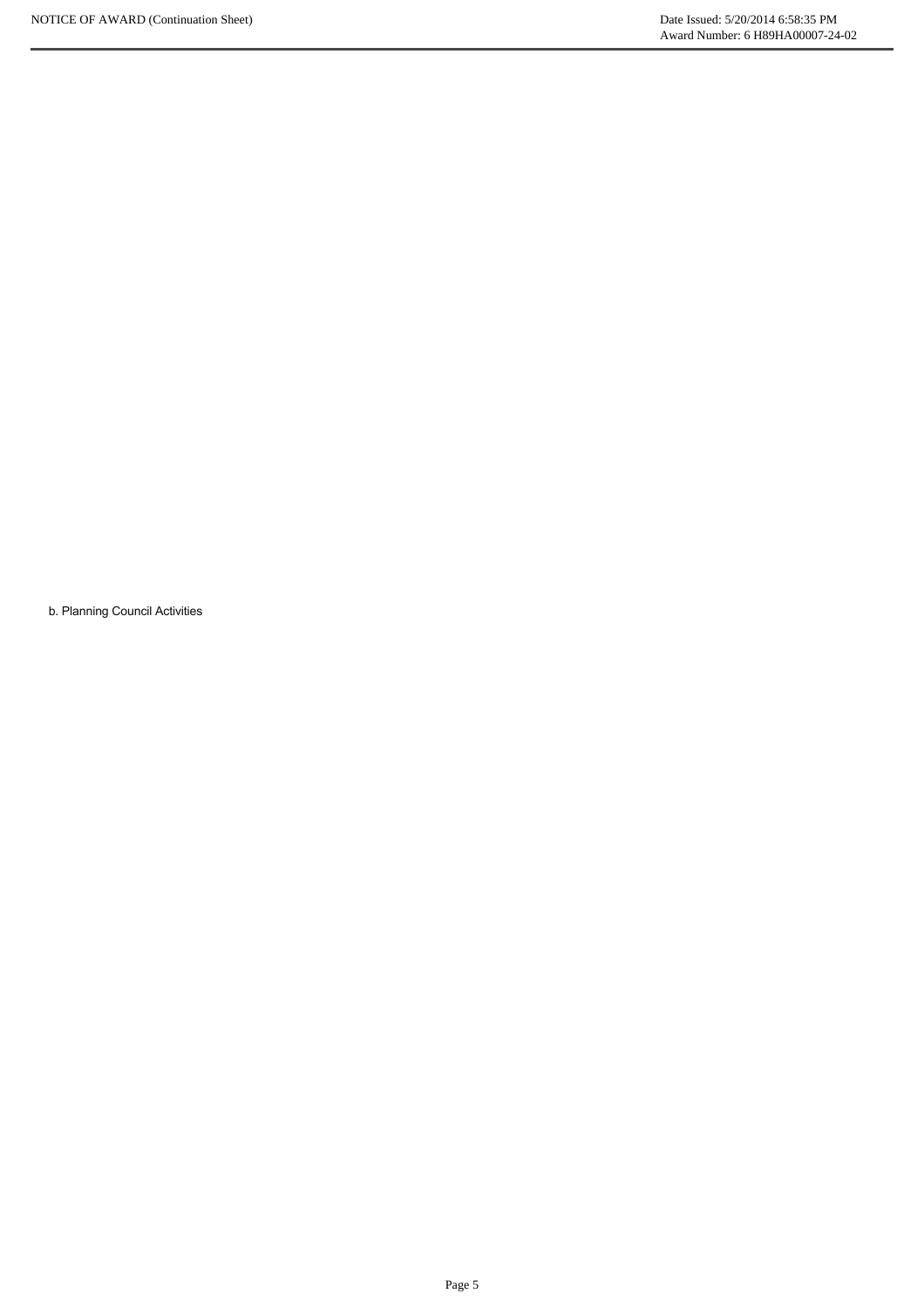b. Planning Council Activities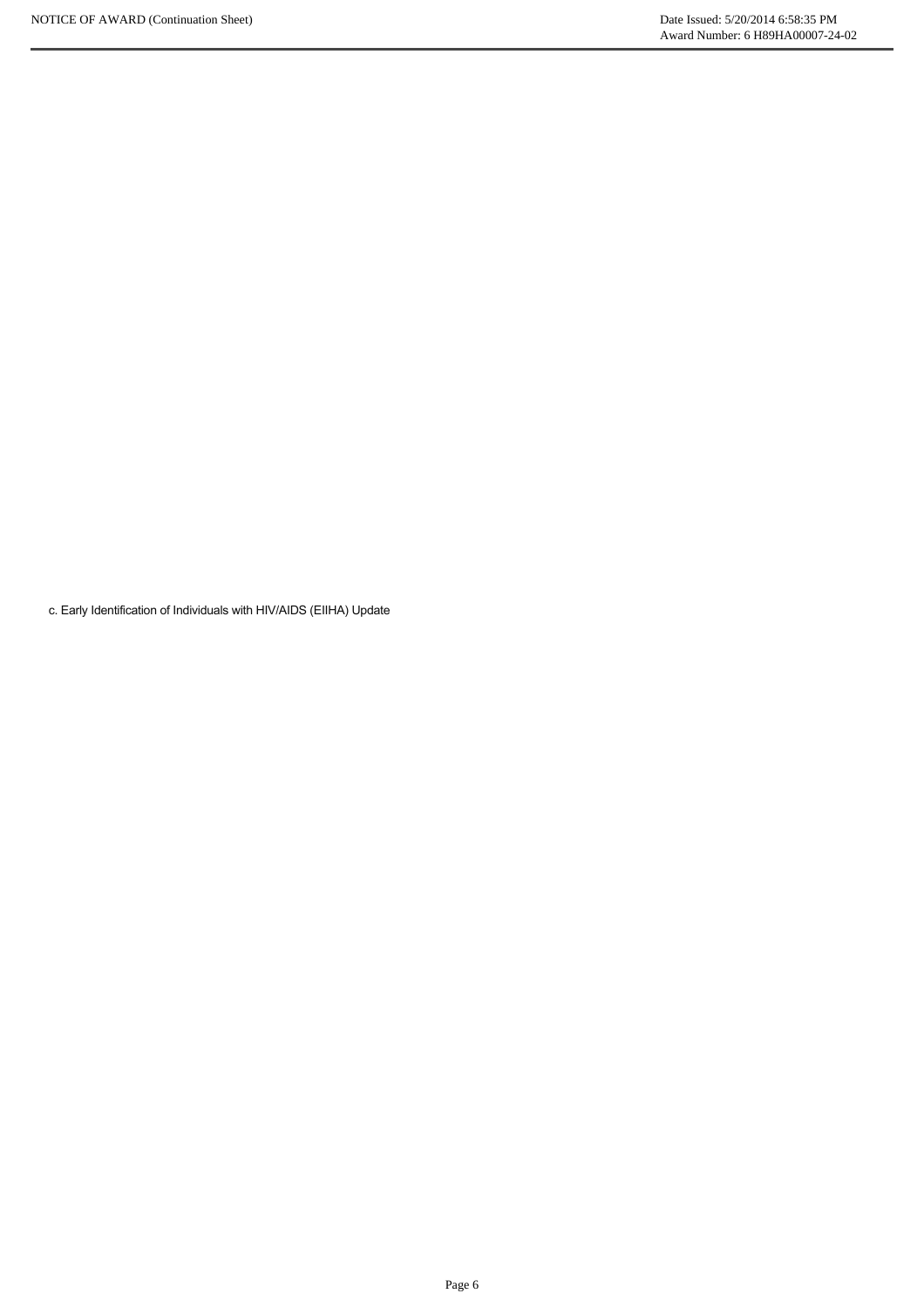c. Early Identification of Individuals with HIV/AIDS (EIIHA) Update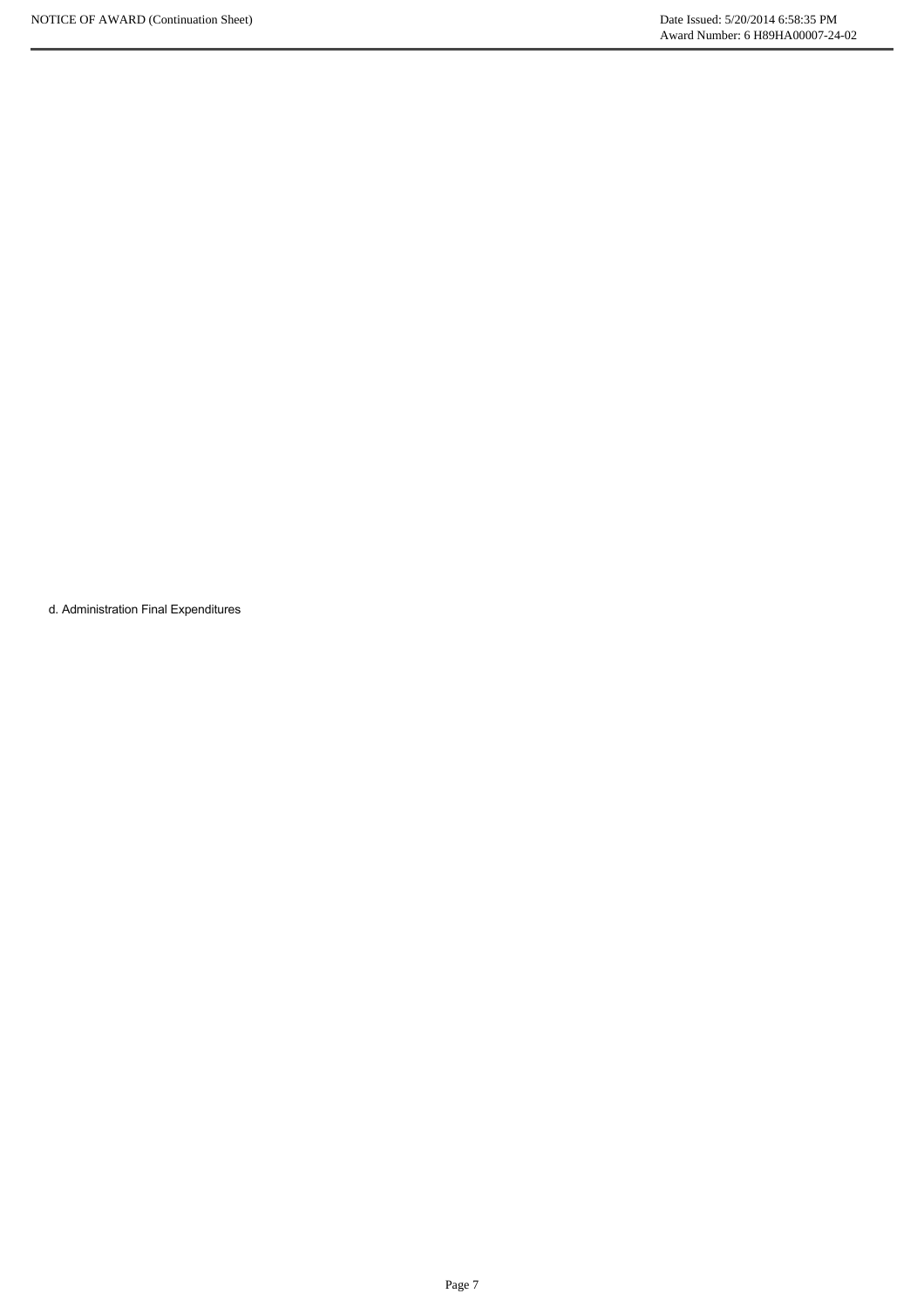d. Administration Final Expenditures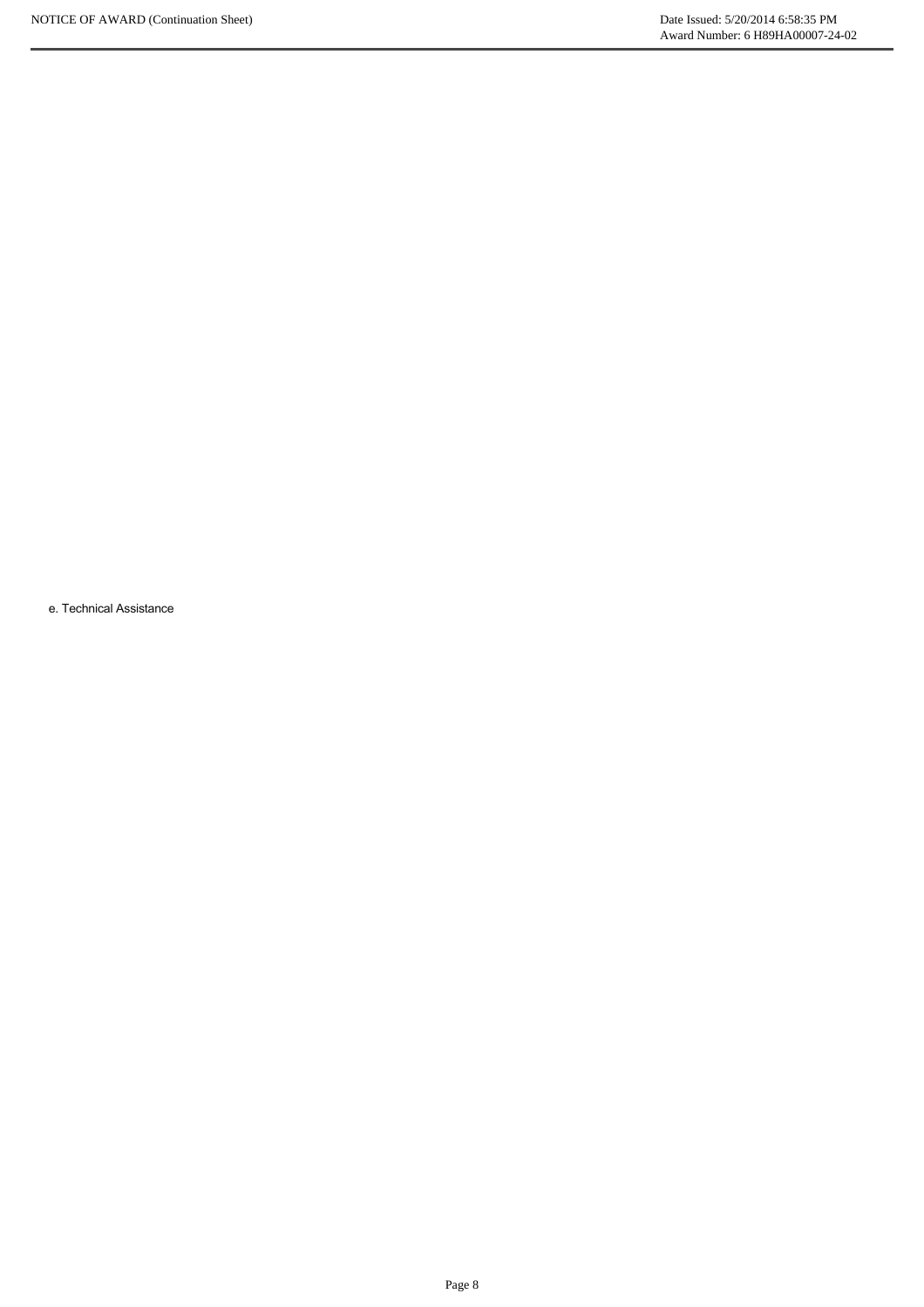e. Technical Assistance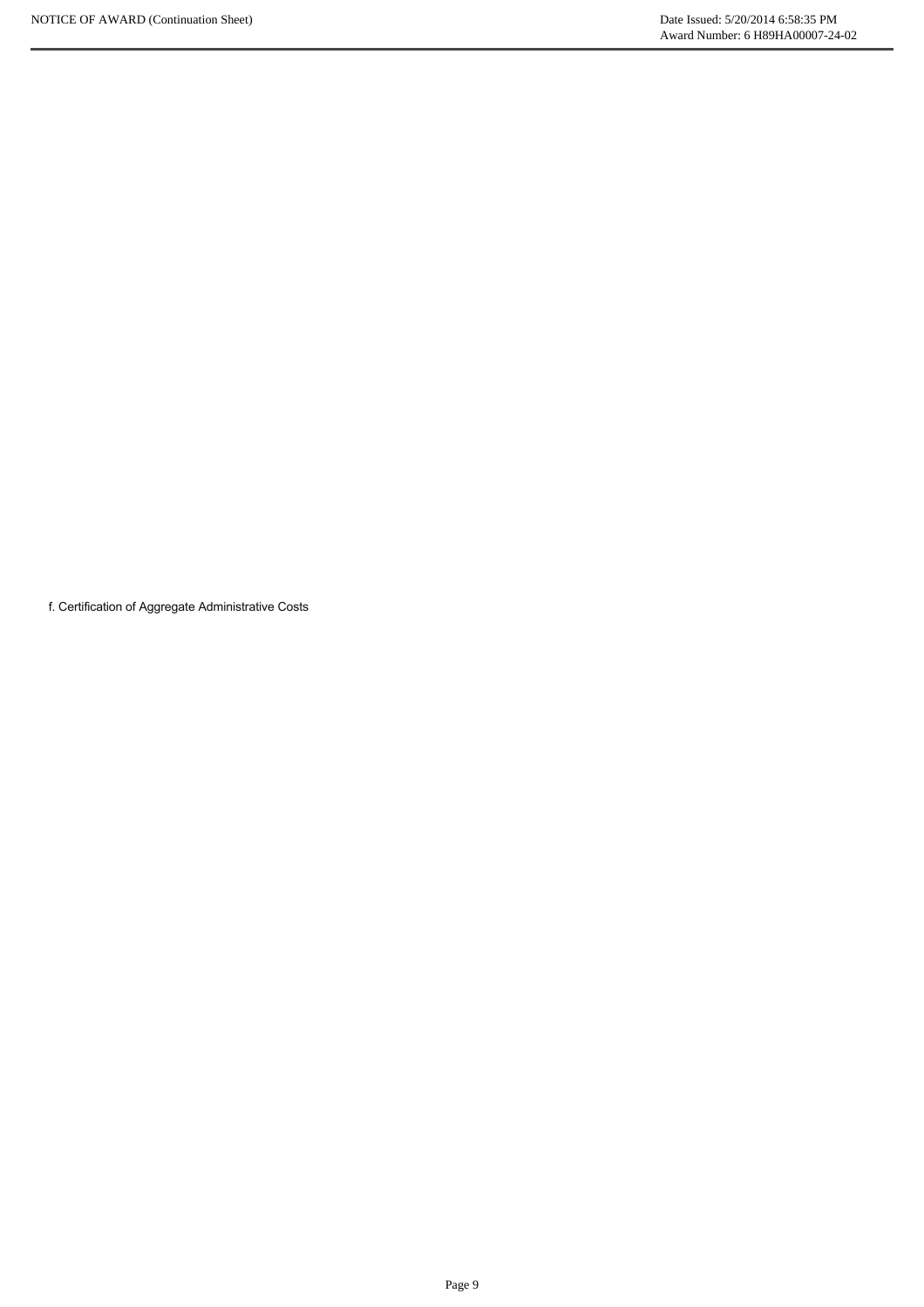f. Certification of Aggregate Administrative Costs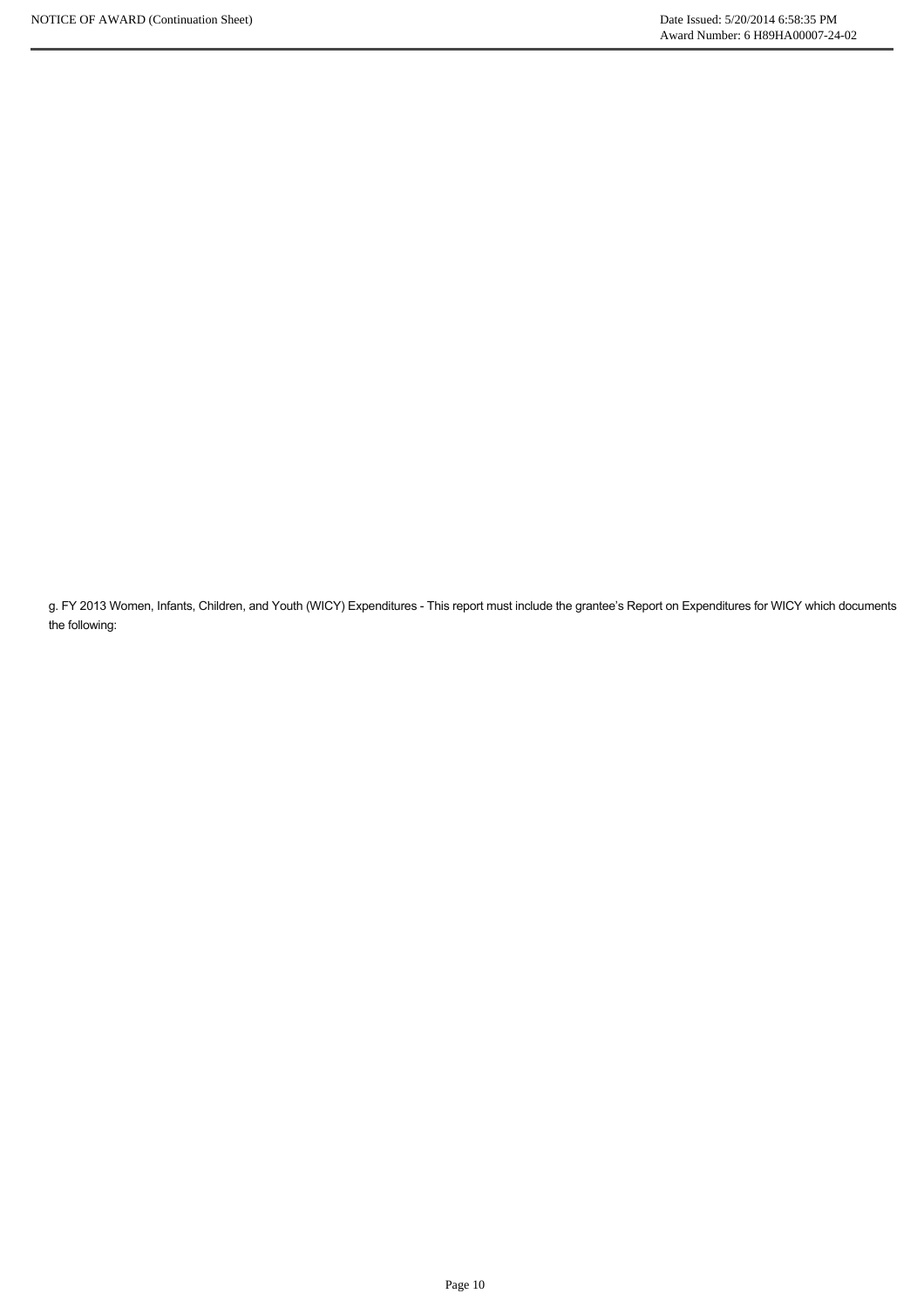g. FY 2013 Women, Infants, Children, and Youth (WICY) Expenditures This report must include the grantee's Report on Expenditures for WICY which documents the following: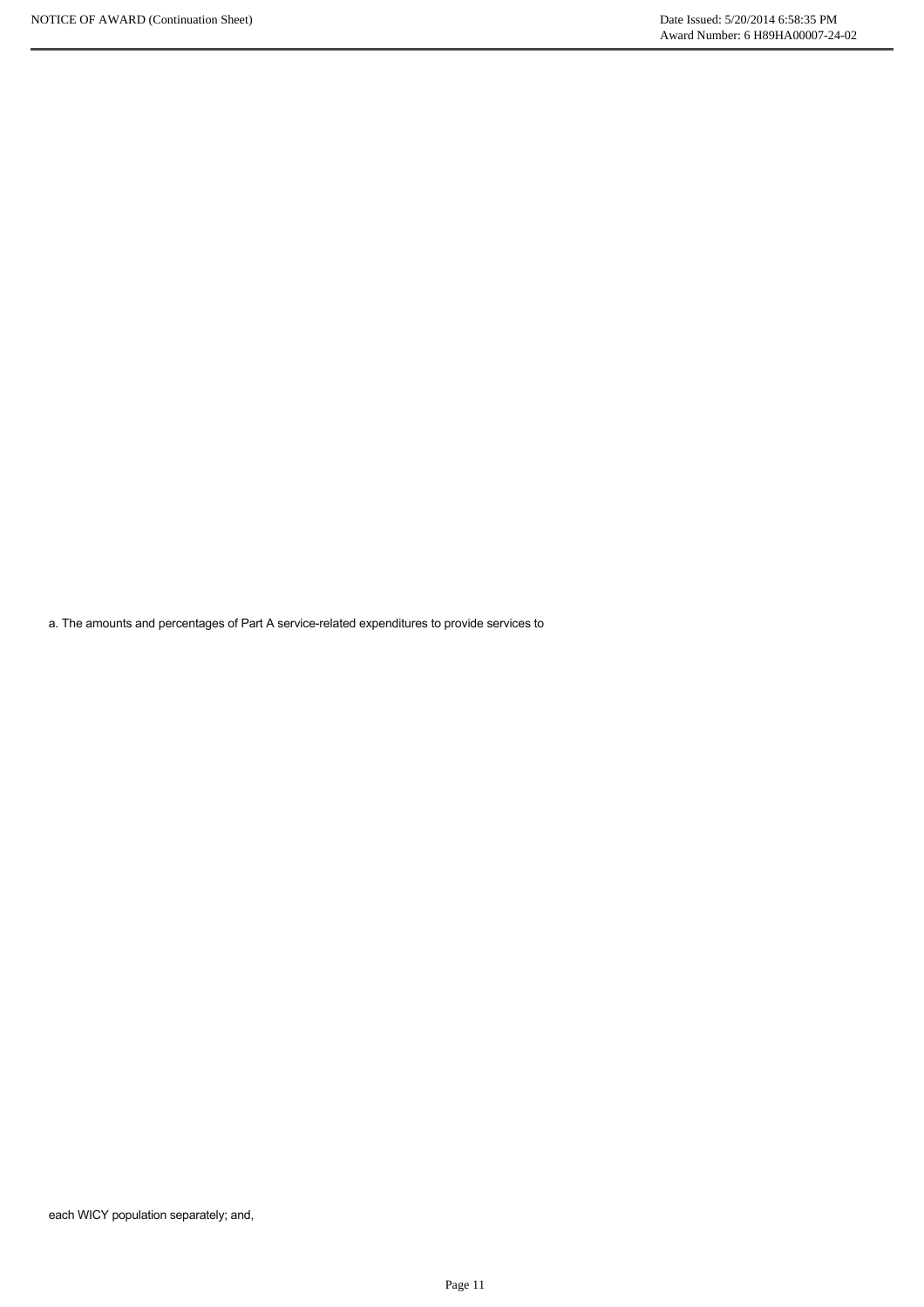a. The amounts and percentages of Part A service-related expenditures to provide services to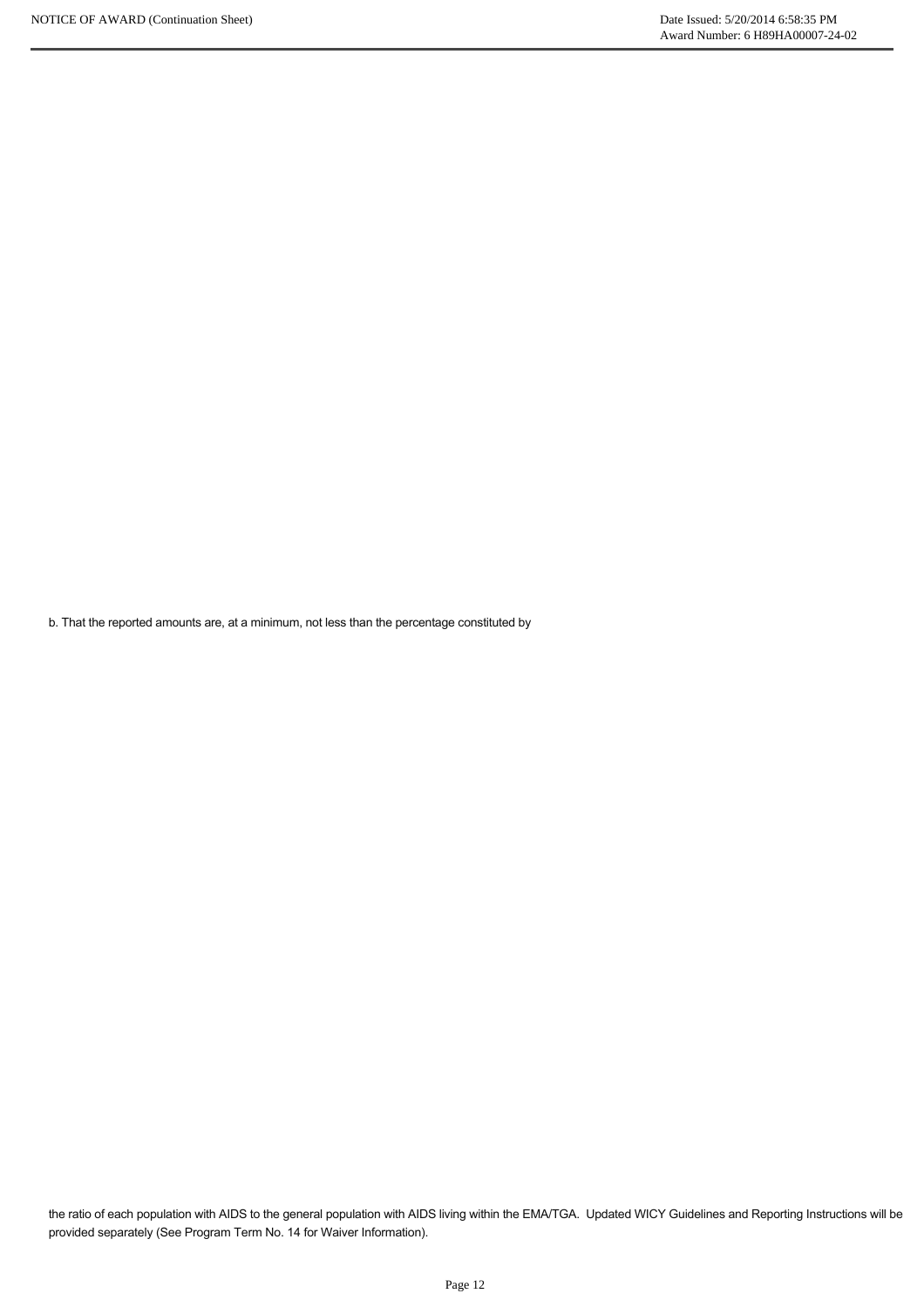b. That the reported amounts are, at a minimum, not less than the percentage constituted by

the ratio of each population with AIDS to the general population with AIDS living within the EMA/TGA. Updated WICY Guidelines and Reporting Instructions will be provided separately (See Program Term No. 14 for Waiver Information).